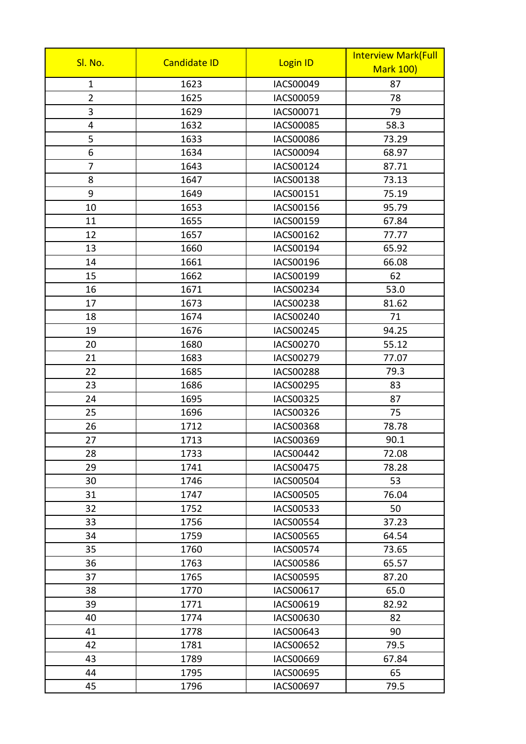|                |                     |                  | <b>Interview Mark(Full</b> |
|----------------|---------------------|------------------|----------------------------|
| Sl. No.        | <b>Candidate ID</b> | Login ID         | <b>Mark 100)</b>           |
| $\mathbf{1}$   | 1623                | IACS00049        | 87                         |
| $\overline{2}$ | 1625                | IACS00059        | 78                         |
| 3              | 1629                | IACS00071        | 79                         |
| 4              | 1632                | IACS00085        | 58.3                       |
| 5              | 1633                | <b>IACS00086</b> | 73.29                      |
| 6              | 1634                | IACS00094        | 68.97                      |
| $\overline{7}$ | 1643                | IACS00124        | 87.71                      |
| 8              | 1647                | IACS00138        | 73.13                      |
| 9              | 1649                | IACS00151        | 75.19                      |
| 10             | 1653                | IACS00156        | 95.79                      |
| 11             | 1655                | IACS00159        | 67.84                      |
| 12             | 1657                | IACS00162        | 77.77                      |
| 13             | 1660                | IACS00194        | 65.92                      |
| 14             | 1661                | IACS00196        | 66.08                      |
| 15             | 1662                | IACS00199        | 62                         |
| 16             | 1671                | IACS00234        | 53.0                       |
| 17             | 1673                | IACS00238        | 81.62                      |
| 18             | 1674                | IACS00240        | 71                         |
| 19             | 1676                | <b>IACS00245</b> | 94.25                      |
| 20             | 1680                | IACS00270        | 55.12                      |
| 21             | 1683                | IACS00279        | 77.07                      |
| 22             | 1685                | <b>IACS00288</b> | 79.3                       |
| 23             | 1686                | IACS00295        | 83                         |
| 24             | 1695                | IACS00325        | 87                         |
| 25             | 1696                | IACS00326        | 75                         |
| 26             | 1712                | IACS00368        | 78.78                      |
| 27             | 1713                | IACS00369        | 90.1                       |
| 28             | 1733                | <b>IACS00442</b> | 72.08                      |
| 29             | 1741                | <b>IACS00475</b> | 78.28                      |
| 30             | 1746                | IACS00504        | 53                         |
| 31             | 1747                | <b>IACS00505</b> | 76.04                      |
| 32             | 1752                | IACS00533        | 50                         |
| 33             | 1756                | <b>IACS00554</b> | 37.23                      |
| 34             | 1759                | <b>IACS00565</b> | 64.54                      |
| 35             | 1760                | IACS00574        | 73.65                      |
| 36             | 1763                | <b>IACS00586</b> | 65.57                      |
| 37             | 1765                | <b>IACS00595</b> | 87.20                      |
| 38             | 1770                | IACS00617        | 65.0                       |
| 39             | 1771                | IACS00619        | 82.92                      |
| 40             | 1774                | IACS00630        | 82                         |
| 41             | 1778                | IACS00643        | 90                         |
| 42             | 1781                | IACS00652        | 79.5                       |
| 43             | 1789                | IACS00669        | 67.84                      |
| 44             | 1795                | <b>IACS00695</b> | 65                         |
| 45             | 1796                | IACS00697        | 79.5                       |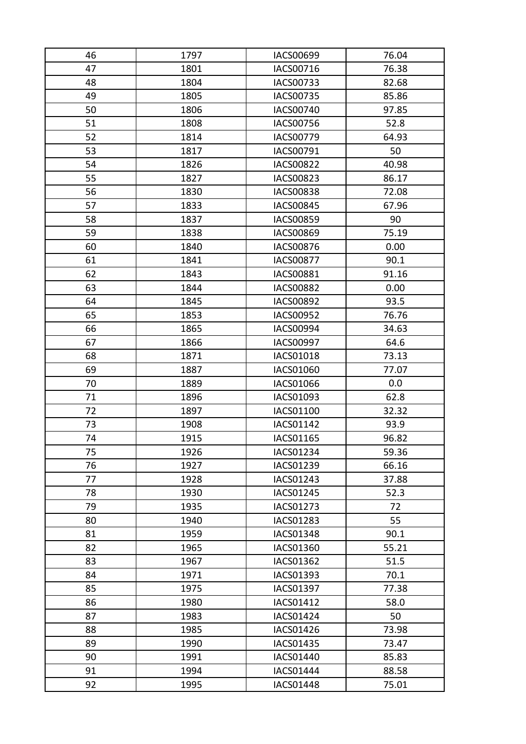| 46 | 1797 | IACS00699        | 76.04 |
|----|------|------------------|-------|
| 47 | 1801 | IACS00716        | 76.38 |
| 48 | 1804 | IACS00733        | 82.68 |
| 49 | 1805 | <b>IACS00735</b> | 85.86 |
| 50 | 1806 | <b>IACS00740</b> | 97.85 |
| 51 | 1808 | <b>IACS00756</b> | 52.8  |
| 52 | 1814 | <b>IACS00779</b> | 64.93 |
| 53 | 1817 | IACS00791        | 50    |
| 54 | 1826 | <b>IACS00822</b> | 40.98 |
| 55 | 1827 | IACS00823        | 86.17 |
| 56 | 1830 | <b>IACS00838</b> | 72.08 |
| 57 | 1833 | <b>IACS00845</b> | 67.96 |
| 58 | 1837 | <b>IACS00859</b> | 90    |
| 59 | 1838 | <b>IACS00869</b> | 75.19 |
| 60 | 1840 | <b>IACS00876</b> | 0.00  |
| 61 | 1841 | <b>IACS00877</b> | 90.1  |
| 62 | 1843 | IACS00881        | 91.16 |
| 63 | 1844 | <b>IACS00882</b> | 0.00  |
| 64 | 1845 | <b>IACS00892</b> | 93.5  |
| 65 | 1853 | IACS00952        | 76.76 |
| 66 | 1865 | <b>IACS00994</b> | 34.63 |
| 67 | 1866 | IACS00997        | 64.6  |
| 68 | 1871 | IACS01018        | 73.13 |
| 69 | 1887 | IACS01060        | 77.07 |
| 70 | 1889 | IACS01066        | 0.0   |
| 71 | 1896 | IACS01093        | 62.8  |
| 72 | 1897 | IACS01100        | 32.32 |
| 73 | 1908 | IACS01142        | 93.9  |
| 74 | 1915 | IACS01165        | 96.82 |
| 75 | 1926 | <b>IACS01234</b> | 59.36 |
| 76 | 1927 | IACS01239        | 66.16 |
| 77 | 1928 | IACS01243        | 37.88 |
| 78 | 1930 | IACS01245        | 52.3  |
| 79 | 1935 | IACS01273        | 72    |
| 80 | 1940 | <b>IACS01283</b> | 55    |
| 81 | 1959 | <b>IACS01348</b> | 90.1  |
| 82 | 1965 | <b>IACS01360</b> | 55.21 |
| 83 | 1967 | IACS01362        | 51.5  |
| 84 | 1971 | IACS01393        | 70.1  |
| 85 | 1975 | <b>IACS01397</b> | 77.38 |
| 86 | 1980 | IACS01412        | 58.0  |
| 87 | 1983 | <b>IACS01424</b> | 50    |
| 88 | 1985 | IACS01426        | 73.98 |
| 89 | 1990 | <b>IACS01435</b> | 73.47 |
| 90 | 1991 | IACS01440        | 85.83 |
| 91 | 1994 | <b>IACS01444</b> | 88.58 |
| 92 | 1995 | IACS01448        | 75.01 |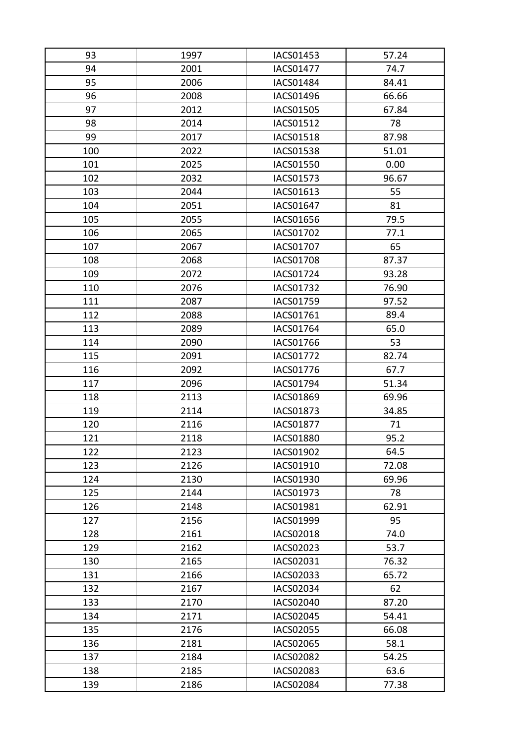| 93  | 1997 | <b>IACS01453</b> | 57.24 |
|-----|------|------------------|-------|
| 94  | 2001 | <b>IACS01477</b> | 74.7  |
| 95  | 2006 | IACS01484        | 84.41 |
| 96  | 2008 | <b>IACS01496</b> | 66.66 |
| 97  | 2012 | <b>IACS01505</b> | 67.84 |
| 98  | 2014 | IACS01512        | 78    |
| 99  | 2017 | <b>IACS01518</b> | 87.98 |
| 100 | 2022 | <b>IACS01538</b> | 51.01 |
| 101 | 2025 | <b>IACS01550</b> | 0.00  |
| 102 | 2032 | IACS01573        | 96.67 |
| 103 | 2044 | IACS01613        | 55    |
| 104 | 2051 | <b>IACS01647</b> | 81    |
| 105 | 2055 | <b>IACS01656</b> | 79.5  |
| 106 | 2065 | IACS01702        | 77.1  |
| 107 | 2067 | IACS01707        | 65    |
| 108 | 2068 | <b>IACS01708</b> | 87.37 |
| 109 | 2072 | <b>IACS01724</b> | 93.28 |
| 110 | 2076 | <b>IACS01732</b> | 76.90 |
| 111 | 2087 | <b>IACS01759</b> | 97.52 |
| 112 | 2088 | IACS01761        | 89.4  |
| 113 | 2089 | <b>IACS01764</b> | 65.0  |
| 114 | 2090 | IACS01766        | 53    |
| 115 | 2091 | <b>IACS01772</b> | 82.74 |
| 116 | 2092 | <b>IACS01776</b> | 67.7  |
| 117 | 2096 | <b>IACS01794</b> | 51.34 |
| 118 | 2113 | <b>IACS01869</b> | 69.96 |
| 119 | 2114 | <b>IACS01873</b> | 34.85 |
| 120 | 2116 | <b>IACS01877</b> | 71    |
| 121 | 2118 | <b>IACS01880</b> | 95.2  |
| 122 | 2123 | <b>IACS01902</b> | 64.5  |
| 123 | 2126 | IACS01910        | 72.08 |
| 124 | 2130 | IACS01930        | 69.96 |
| 125 | 2144 | IACS01973        | 78    |
| 126 | 2148 | IACS01981        | 62.91 |
| 127 | 2156 | <b>IACS01999</b> | 95    |
| 128 | 2161 | <b>IACS02018</b> | 74.0  |
| 129 | 2162 | IACS02023        | 53.7  |
| 130 | 2165 | IACS02031        | 76.32 |
| 131 | 2166 | IACS02033        | 65.72 |
| 132 | 2167 | IACS02034        | 62    |
| 133 | 2170 | <b>IACS02040</b> | 87.20 |
| 134 | 2171 | <b>IACS02045</b> | 54.41 |
| 135 | 2176 | <b>IACS02055</b> | 66.08 |
| 136 | 2181 | <b>IACS02065</b> | 58.1  |
| 137 | 2184 | <b>IACS02082</b> | 54.25 |
| 138 | 2185 | IACS02083        | 63.6  |
| 139 | 2186 | <b>IACS02084</b> | 77.38 |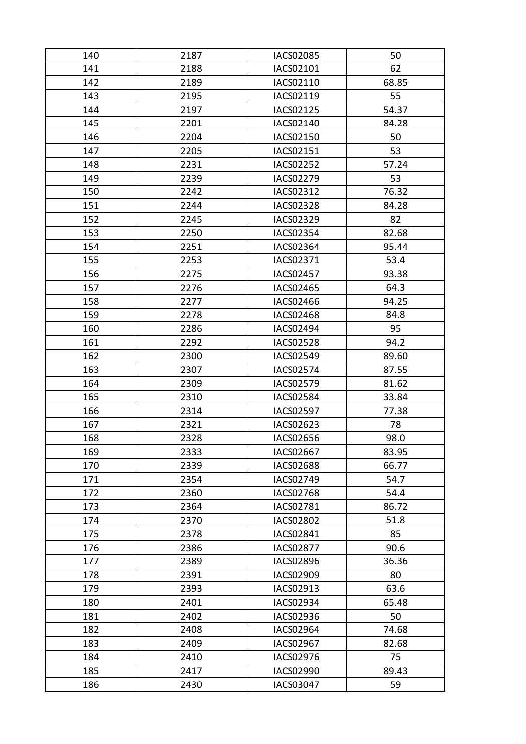| 140 | 2187 | <b>IACS02085</b> | 50    |
|-----|------|------------------|-------|
| 141 | 2188 | IACS02101        | 62    |
| 142 | 2189 | IACS02110        | 68.85 |
| 143 | 2195 | IACS02119        | 55    |
| 144 | 2197 | IACS02125        | 54.37 |
| 145 | 2201 | IACS02140        | 84.28 |
| 146 | 2204 | IACS02150        | 50    |
| 147 | 2205 | IACS02151        | 53    |
| 148 | 2231 | <b>IACS02252</b> | 57.24 |
| 149 | 2239 | <b>IACS02279</b> | 53    |
| 150 | 2242 | IACS02312        | 76.32 |
| 151 | 2244 | <b>IACS02328</b> | 84.28 |
| 152 | 2245 | <b>IACS02329</b> | 82    |
| 153 | 2250 | <b>IACS02354</b> | 82.68 |
| 154 | 2251 | IACS02364        | 95.44 |
| 155 | 2253 | IACS02371        | 53.4  |
| 156 | 2275 | IACS02457        | 93.38 |
| 157 | 2276 | <b>IACS02465</b> | 64.3  |
| 158 | 2277 | <b>IACS02466</b> | 94.25 |
| 159 | 2278 | IACS02468        | 84.8  |
| 160 | 2286 | <b>IACS02494</b> | 95    |
| 161 | 2292 | <b>IACS02528</b> | 94.2  |
| 162 | 2300 | <b>IACS02549</b> | 89.60 |
| 163 | 2307 | <b>IACS02574</b> | 87.55 |
| 164 | 2309 | <b>IACS02579</b> | 81.62 |
| 165 | 2310 | <b>IACS02584</b> | 33.84 |
| 166 | 2314 | <b>IACS02597</b> | 77.38 |
| 167 | 2321 | <b>IACS02623</b> | 78    |
| 168 | 2328 | <b>IACS02656</b> | 98.0  |
| 169 | 2333 | <b>IACS02667</b> | 83.95 |
| 170 | 2339 | <b>IACS02688</b> | 66.77 |
| 171 | 2354 | IACS02749        | 54.7  |
| 172 | 2360 | <b>IACS02768</b> | 54.4  |
| 173 | 2364 | IACS02781        | 86.72 |
| 174 | 2370 | <b>IACS02802</b> | 51.8  |
| 175 | 2378 | IACS02841        | 85    |
| 176 | 2386 | <b>IACS02877</b> | 90.6  |
| 177 | 2389 | <b>IACS02896</b> | 36.36 |
| 178 | 2391 | IACS02909        | 80    |
| 179 | 2393 | IACS02913        | 63.6  |
| 180 | 2401 | IACS02934        | 65.48 |
| 181 | 2402 | <b>IACS02936</b> | 50    |
| 182 | 2408 | <b>IACS02964</b> | 74.68 |
| 183 | 2409 | <b>IACS02967</b> | 82.68 |
| 184 | 2410 | <b>IACS02976</b> | 75    |
| 185 | 2417 | <b>IACS02990</b> | 89.43 |
| 186 | 2430 | <b>IACS03047</b> | 59    |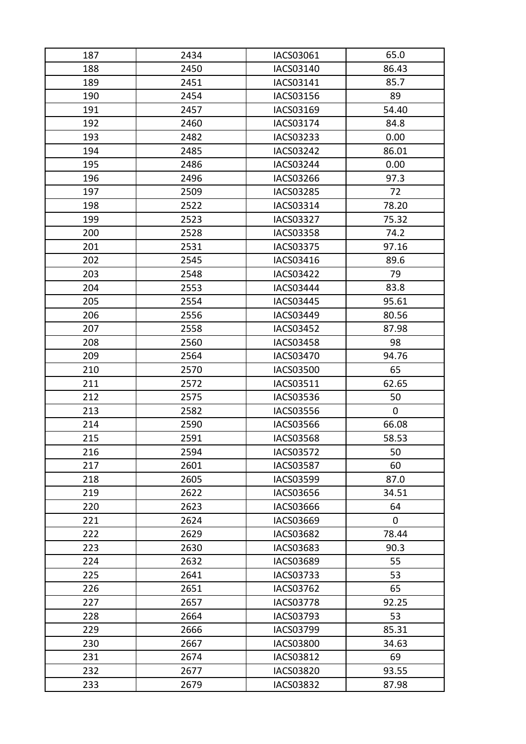| 187 | 2434 | IACS03061        | 65.0        |
|-----|------|------------------|-------------|
| 188 | 2450 | IACS03140        | 86.43       |
| 189 | 2451 | IACS03141        | 85.7        |
| 190 | 2454 | IACS03156        | 89          |
| 191 | 2457 | IACS03169        | 54.40       |
| 192 | 2460 | IACS03174        | 84.8        |
| 193 | 2482 | IACS03233        | 0.00        |
| 194 | 2485 | IACS03242        | 86.01       |
| 195 | 2486 | <b>IACS03244</b> | 0.00        |
| 196 | 2496 | IACS03266        | 97.3        |
| 197 | 2509 | IACS03285        | 72          |
| 198 | 2522 | IACS03314        | 78.20       |
| 199 | 2523 | IACS03327        | 75.32       |
| 200 | 2528 | <b>IACS03358</b> | 74.2        |
| 201 | 2531 | IACS03375        | 97.16       |
| 202 | 2545 | IACS03416        | 89.6        |
| 203 | 2548 | IACS03422        | 79          |
| 204 | 2553 | IACS03444        | 83.8        |
| 205 | 2554 | <b>IACS03445</b> | 95.61       |
| 206 | 2556 | IACS03449        | 80.56       |
| 207 | 2558 | <b>IACS03452</b> | 87.98       |
| 208 | 2560 | <b>IACS03458</b> | 98          |
| 209 | 2564 | <b>IACS03470</b> | 94.76       |
| 210 | 2570 | <b>IACS03500</b> | 65          |
| 211 | 2572 | IACS03511        | 62.65       |
| 212 | 2575 | <b>IACS03536</b> | 50          |
| 213 | 2582 | <b>IACS03556</b> | $\mathbf 0$ |
| 214 | 2590 | <b>IACS03566</b> | 66.08       |
| 215 | 2591 | <b>IACS03568</b> | 58.53       |
| 216 | 2594 | <b>IACS03572</b> | 50          |
| 217 | 2601 | <b>IACS03587</b> | 60          |
| 218 | 2605 | IACS03599        | 87.0        |
| 219 | 2622 | <b>IACS03656</b> | 34.51       |
| 220 | 2623 | <b>IACS03666</b> | 64          |
| 221 | 2624 | <b>IACS03669</b> | $\mathbf 0$ |
| 222 | 2629 | <b>IACS03682</b> | 78.44       |
| 223 | 2630 | IACS03683        | 90.3        |
| 224 | 2632 | <b>IACS03689</b> | 55          |
| 225 | 2641 | IACS03733        | 53          |
| 226 | 2651 | <b>IACS03762</b> | 65          |
| 227 | 2657 | <b>IACS03778</b> | 92.25       |
| 228 | 2664 | IACS03793        | 53          |
| 229 | 2666 | <b>IACS03799</b> | 85.31       |
| 230 | 2667 | <b>IACS03800</b> | 34.63       |
| 231 | 2674 | <b>IACS03812</b> | 69          |
| 232 | 2677 | <b>IACS03820</b> | 93.55       |
| 233 | 2679 | <b>IACS03832</b> | 87.98       |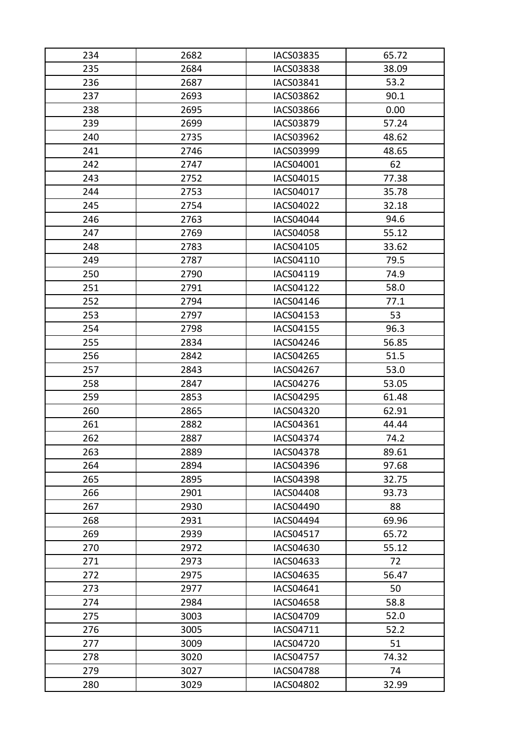| 234 | 2682 | <b>IACS03835</b> | 65.72 |
|-----|------|------------------|-------|
| 235 | 2684 | <b>IACS03838</b> | 38.09 |
| 236 | 2687 | IACS03841        | 53.2  |
| 237 | 2693 | <b>IACS03862</b> | 90.1  |
| 238 | 2695 | IACS03866        | 0.00  |
| 239 | 2699 | <b>IACS03879</b> | 57.24 |
| 240 | 2735 | <b>IACS03962</b> | 48.62 |
| 241 | 2746 | IACS03999        | 48.65 |
| 242 | 2747 | IACS04001        | 62    |
| 243 | 2752 | IACS04015        | 77.38 |
| 244 | 2753 | IACS04017        | 35.78 |
| 245 | 2754 | <b>IACS04022</b> | 32.18 |
| 246 | 2763 | <b>IACS04044</b> | 94.6  |
| 247 | 2769 | <b>IACS04058</b> | 55.12 |
| 248 | 2783 | IACS04105        | 33.62 |
| 249 | 2787 | IACS04110        | 79.5  |
| 250 | 2790 | IACS04119        | 74.9  |
| 251 | 2791 | <b>IACS04122</b> | 58.0  |
| 252 | 2794 | IACS04146        | 77.1  |
| 253 | 2797 | IACS04153        | 53    |
| 254 | 2798 | <b>IACS04155</b> | 96.3  |
| 255 | 2834 | <b>IACS04246</b> | 56.85 |
| 256 | 2842 | <b>IACS04265</b> | 51.5  |
| 257 | 2843 | <b>IACS04267</b> | 53.0  |
| 258 | 2847 | <b>IACS04276</b> | 53.05 |
| 259 | 2853 | <b>IACS04295</b> | 61.48 |
| 260 | 2865 | <b>IACS04320</b> | 62.91 |
| 261 | 2882 | IACS04361        | 44.44 |
| 262 | 2887 | <b>IACS04374</b> | 74.2  |
| 263 | 2889 | <b>IACS04378</b> | 89.61 |
| 264 | 2894 | <b>IACS04396</b> | 97.68 |
| 265 | 2895 | <b>IACS04398</b> | 32.75 |
| 266 | 2901 | <b>IACS04408</b> | 93.73 |
| 267 | 2930 | <b>IACS04490</b> | 88    |
| 268 | 2931 | <b>IACS04494</b> | 69.96 |
| 269 | 2939 | IACS04517        | 65.72 |
| 270 | 2972 | IACS04630        | 55.12 |
| 271 | 2973 | IACS04633        | 72    |
| 272 | 2975 | IACS04635        | 56.47 |
| 273 | 2977 | IACS04641        | 50    |
| 274 | 2984 | <b>IACS04658</b> | 58.8  |
| 275 | 3003 | <b>IACS04709</b> | 52.0  |
| 276 | 3005 | IACS04711        | 52.2  |
| 277 | 3009 | <b>IACS04720</b> | 51    |
| 278 | 3020 | <b>IACS04757</b> | 74.32 |
| 279 | 3027 | <b>IACS04788</b> | 74    |
| 280 | 3029 | <b>IACS04802</b> | 32.99 |